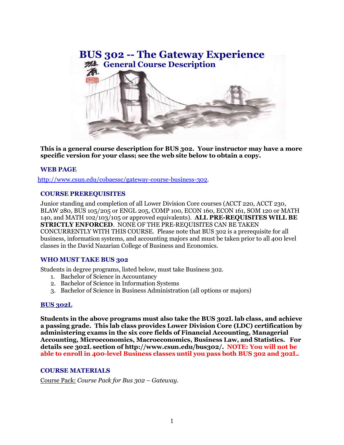

**This is a general course description for BUS 302. Your instructor may have a more specific version for your class; see the web site below to obtain a copy.**

# **WEB PAGE**

[http://www.csun.edu/cobaessc/gateway-course-business-302.](http://www.csun.edu/cobaessc/gateway-course-business-302)

### **COURSE PREREQUISITES**

Junior standing and completion of all Lower Division Core courses (ACCT 220, ACCT 230, BLAW 280, BUS 105/205 or ENGL 205, COMP 100, ECON 160, ECON 161, SOM 120 or MATH 140, and MATH 102/103/105 or approved equivalents). **ALL PRE-REQUISITES WILL BE STRICTLY ENFORCED**. NONE OF THE PRE-REQUISITES CAN BE TAKEN CONCURRENTLY WITH THIS COURSE. Please note that BUS 302 is a prerequisite for all business, information systems, and accounting majors and must be taken prior to all 400 level classes in the David Nazarian College of Business and Economics.

## **WHO MUST TAKE BUS 302**

Students in degree programs, listed below, must take Business 302.

- 1. Bachelor of Science in Accountancy
- 2. Bachelor of Science in Information Systems
- 3. Bachelor of Science in Business Administration (all options or majors)

#### **BUS 302L**

**Students in the above programs must also take the BUS 302L lab class, and achieve a passing grade. This lab class provides Lower Division Core (LDC) certification by administering exams in the six core fields of Financial Accounting, Managerial Accounting, Microeconomics, Macroeconomics, Business Law, and Statistics. For details see 302L section of [http://www.csun.edu/bus302/.](http://www.csun.edu/bus302/) NOTE: You will not be able to enroll in 400-level Business classes until you pass both BUS 302 and 302L.**

#### **COURSE MATERIALS**

Course Pack: *Course Pack for Bus 302 – Gateway*.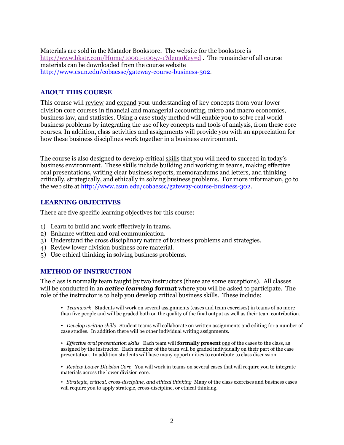Materials are sold in the Matador Bookstore. The website for the bookstore is <http://www.bkstr.com/Home/10001-10057-1?demoKey=d> . The remainder of all course materials can be downloaded from the course website <http://www.csun.edu/cobaessc/gateway-course-business-302>.

# **ABOUT THIS COURSE**

This course will review and expand your understanding of key concepts from your lower division core courses in financial and managerial accounting, micro and macro economics, business law, and statistics. Using a case study method will enable you to solve real world business problems by integrating the use of key concepts and tools of analysis, from these core courses. In addition, class activities and assignments will provide you with an appreciation for how these business disciplines work together in a business environment.

The course is also designed to develop critical skills that you will need to succeed in today's business environment. These skills include building and working in teams, making effective oral presentations, writing clear business reports, memorandums and letters, and thinking critically, strategically, and ethically in solving business problems. For more information, go to the web site at [http://www.csun.edu/cobaessc/gateway-course-business-302.](http://www.csun.edu/cobaessc/gateway-course-business-302)

## **LEARNING OBJECTIVES**

There are five specific learning objectives for this course:

- 1) Learn to build and work effectively in teams.
- 2) Enhance written and oral communication.
- 3) Understand the cross disciplinary nature of business problems and strategies.
- 4) Review lower division business core material.
- 5) Use ethical thinking in solving business problems.

#### **METHOD OF INSTRUCTION**

The class is normally team taught by two instructors (there are some exceptions). All classes will be conducted in an *active learning* **format** where you will be asked to participate. The role of the instructor is to help you develop critical business skills. These include:

• *Teamwork* Students will work on several assignments (cases and team exercises) in teams of no more than five people and will be graded both on the quality of the final output as well as their team contribution.

• *Develop writing skills* Student teams will collaborate on written assignments and editing for a number of case studies. In addition there will be other individual writing assignments.

• *Effective oral presentation skills* Each team will **formally present** one of the cases to the class, as assigned by the instructor. Each member of the team will be graded individually on their part of the case presentation. In addition students will have many opportunities to contribute to class discussion.

• *Review Lower Division Core* You will work in teams on several cases that will require you to integrate materials across the lower division core.

• *Strategic, critical, cross-discipline, and ethical thinking* Many of the class exercises and business cases will require you to apply strategic, cross-discipline, or ethical thinking.